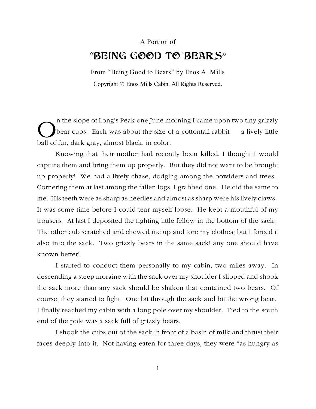## A Portion of "BEING GOOD TO BEARS"

From "Being Good to Bears" by Enos A. Mills Copyright © Enos Mills Cabin. All Rights Reserved.

The slope of Long's Peak one June m<br>bear cubs. Each was about the size of<br>ball of fur, dark gray, almost black, in color. n the slope of Long's Peak one June morning I came upon two tiny grizzly bear cubs. Each was about the size of a cottontail rabbit — a lively little

Knowing that their mother had recently been killed, I thought I would capture them and bring them up properly. But they did not want to be brought up properly! We had a lively chase, dodging among the bowlders and trees. Cornering them at last among the fallen logs, I grabbed one. He did the same to me. His teeth were as sharp as needles and almost as sharp were his lively claws. It was some time before I could tear myself loose. He kept a mouthful of my trousers. At last I deposited the fighting little fellow in the bottom of the sack. The other cub scratched and chewed me up and tore my clothes; but I forced it also into the sack. Two grizzly bears in the same sack! any one should have known better!

I started to conduct them personally to my cabin, two miles away. In descending a steep moraine with the sack over my shoulder I slipped and shook the sack more than any sack should be shaken that contained two bears. Of course, they started to fight. One bit through the sack and bit the wrong bear. I finally reached my cabin with a long pole over my shoulder. Tied to the south end of the pole was a sack full of grizzly bears.

I shook the cubs out of the sack in front of a basin of milk and thrust their faces deeply into it. Not having eaten for three days, they were "as hungry as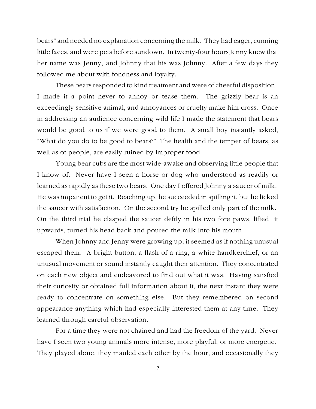bears" and needed no explanation concerning the milk. They had eager, cunning little faces, and were pets before sundown. In twenty-four hours Jenny knew that her name was Jenny, and Johnny that his was Johnny. After a few days they followed me about with fondness and loyalty.

These bears responded to kind treatment and were of cheerful disposition. I made it a point never to annoy or tease them. The grizzly bear is an exceedingly sensitive animal, and annoyances or cruelty make him cross. Once in addressing an audience concerning wild life I made the statement that bears would be good to us if we were good to them. A small boy instantly asked, "What do you do to be good to bears?" The health and the temper of bears, as well as of people, are easily ruined by improper food.

Young bear cubs are the most wide-awake and observing little people that I know of. Never have I seen a horse or dog who understood as readily or learned as rapidly as these two bears. One day I offered Johnny a saucer of milk. He was impatient to get it. Reaching up, he succeeded in spilling it, but he licked the saucer with satisfaction. On the second try he spilled only part of the milk. On the third trial he clasped the saucer deftly in his two fore paws, lifted it upwards, turned his head back and poured the milk into his mouth.

When Johnny and Jenny were growing up, it seemed as if nothing unusual escaped them. A bright button, a flash of a ring, a white handkerchief, or an unusual movement or sound instantly caught their attention. They concentrated on each new object and endeavored to find out what it was. Having satisfied their curiosity or obtained full information about it, the next instant they were ready to concentrate on something else. But they remembered on second appearance anything which had especially interested them at any time. They learned through careful observation.

For a time they were not chained and had the freedom of the yard. Never have I seen two young animals more intense, more playful, or more energetic. They played alone, they mauled each other by the hour, and occasionally they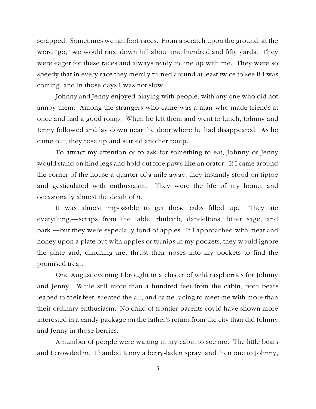scrapped. Sometimes we ran foot-races. From a scratch upon the ground, at the word "go," we would race down hill about one hundred and fifty yards. They were eager for these races and always ready to line up with me. They were so speedy that in every race they merrily turned around at least twice to see if I was coming, and in those days I was not slow.

Johnny and Jenny enjoyed playing with people, with any one who did not annoy them. Among the strangers who came was a man who made friends at once and had a good romp. When he left them and went to lunch, Johnny and Jenny followed and lay down near the door where he had disappeared. As he came out, they rose up and started another romp.

To attract my attention or to ask for something to eat, Johnny or Jenny would stand on hind legs and hold out fore paws like an orator. If I came around the corner of the house a quarter of a mile away, they instantly stood on tiptoe and gesticulated with enthusiasm. They were the life of my home, and occasionally almost the death of it.

It was almost impossible to get these cubs filled up. They ate everything,—scraps from the table, rhubarb, dandelions, bitter sage, and bark,—but they were especially fond of apples. If I approached with meat and honey upon a plate but with apples or turnips in my pockets, they would ignore the plate and, clinching me, thrust their noses into my pockets to find the promised treat.

One August evening I brought in a cluster of wild raspberries for Johnny and Jenny. While still more than a hundred feet from the cabin, both bears leaped to their feet, scented the air, and came racing to meet me with more than their ordinary enthusiasm. No child of frontier parents could have shown more interested in a candy package on the father's return from the city than did Johnny and Jenny in those berries.

A number of people were waiting in my cabin to see me. The little bears and I crowded in. I handed Jenny a berry-laden spray, and then one to Johnny,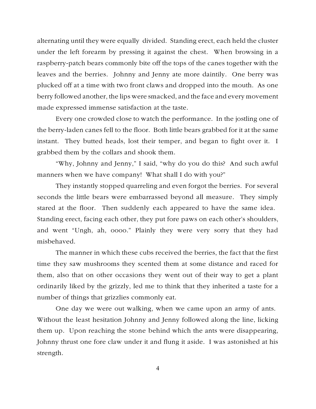alternating until they were equally divided. Standing erect, each held the cluster under the left forearm by pressing it against the chest. When browsing in a raspberry-patch bears commonly bite off the tops of the canes together with the leaves and the berries. Johnny and Jenny ate more daintily. One berry was plucked off at a time with two front claws and dropped into the mouth. As one berry followed another, the lips were smacked, and the face and every movement made expressed immense satisfaction at the taste.

Every one crowded close to watch the performance. In the jostling one of the berry-laden canes fell to the floor. Both little bears grabbed for it at the same instant. They butted heads, lost their temper, and began to fight over it. I grabbed them by the collars and shook them.

"Why, Johnny and Jenny," I said, "why do you do this? And such awful manners when we have company! What shall I do with you?"

They instantly stopped quarreling and even forgot the berries. For several seconds the little bears were embarrassed beyond all measure. They simply stared at the floor. Then suddenly each appeared to have the same idea. Standing erect, facing each other, they put fore paws on each other's shoulders, and went "Ungh, ah, oooo." Plainly they were very sorry that they had misbehaved.

The manner in which these cubs received the berries, the fact that the first time they saw mushrooms they scented them at some distance and raced for them, also that on other occasions they went out of their way to get a plant ordinarily liked by the grizzly, led me to think that they inherited a taste for a number of things that grizzlies commonly eat.

One day we were out walking, when we came upon an army of ants. Without the least hesitation Johnny and Jenny followed along the line, licking them up. Upon reaching the stone behind which the ants were disappearing, Johnny thrust one fore claw under it and flung it aside. I was astonished at his strength.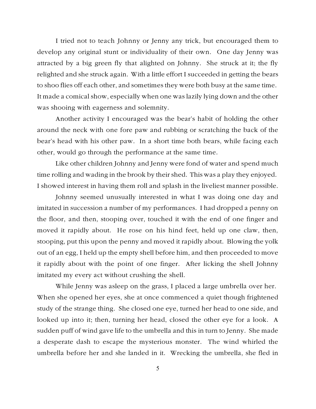I tried not to teach Johnny or Jenny any trick, but encouraged them to develop any original stunt or individuality of their own. One day Jenny was attracted by a big green fly that alighted on Johnny. She struck at it; the fly relighted and she struck again. With a little effort I succeeded in getting the bears to shoo flies off each other, and sometimes they were both busy at the same time. It made a comical show, especially when one was lazily lying down and the other was shooing with eagerness and solemnity.

Another activity I encouraged was the bear's habit of holding the other around the neck with one fore paw and rubbing or scratching the back of the bear's head with his other paw. In a short time both bears, while facing each other, would go through the performance at the same time.

Like other children Johnny and Jenny were fond of water and spend much time rolling and wading in the brook by their shed. This was a play they enjoyed. I showed interest in having them roll and splash in the liveliest manner possible.

Johnny seemed unusually interested in what I was doing one day and imitated in succession a number of my performances. I had dropped a penny on the floor, and then, stooping over, touched it with the end of one finger and moved it rapidly about. He rose on his hind feet, held up one claw, then, stooping, put this upon the penny and moved it rapidly about. Blowing the yolk out of an egg, I held up the empty shell before him, and then proceeded to move it rapidly about with the point of one finger. After licking the shell Johnny imitated my every act without crushing the shell.

While Jenny was asleep on the grass, I placed a large umbrella over her. When she opened her eyes, she at once commenced a quiet though frightened study of the strange thing. She closed one eye, turned her head to one side, and looked up into it; then, turning her head, closed the other eye for a look. A sudden puff of wind gave life to the umbrella and this in turn to Jenny. She made a desperate dash to escape the mysterious monster. The wind whirled the umbrella before her and she landed in it. Wrecking the umbrella, she fled in